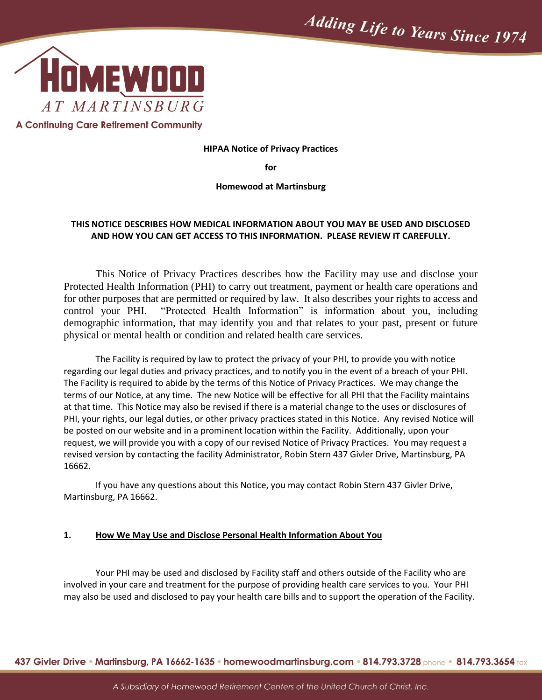

#### **HIPAA Notice of Privacy Practices**

**for**

#### **Homewood at Martinsburg**

#### **THIS NOTICE DESCRIBES HOW MEDICAL INFORMATION ABOUT YOU MAY BE USED AND DISCLOSED AND HOW YOU CAN GET ACCESS TO THIS INFORMATION. PLEASE REVIEW IT CAREFULLY.**

This Notice of Privacy Practices describes how the Facility may use and disclose your Protected Health Information (PHI) to carry out treatment, payment or health care operations and for other purposes that are permitted or required by law. It also describes your rights to access and control your PHI. "Protected Health Information" is information about you, including demographic information, that may identify you and that relates to your past, present or future physical or mental health or condition and related health care services.

The Facility is required by law to protect the privacy of your PHI, to provide you with notice regarding our legal duties and privacy practices, and to notify you in the event of a breach of your PHI. The Facility is required to abide by the terms of this Notice of Privacy Practices. We may change the terms of our Notice, at any time. The new Notice will be effective for all PHI that the Facility maintains at that time. This Notice may also be revised if there is a material change to the uses or disclosures of PHI, your rights, our legal duties, or other privacy practices stated in this Notice. Any revised Notice will be posted on our website and in a prominent location within the Facility. Additionally, upon your request, we will provide you with a copy of our revised Notice of Privacy Practices. You may request a revised version by contacting the facility Administrator, Robin Stern 437 Givler Drive, Martinsburg, PA 16662.

If you have any questions about this Notice, you may contact Robin Stern 437 Givler Drive, Martinsburg, PA 16662.

#### **1. How We May Use and Disclose Personal Health Information About You**

Your PHI may be used and disclosed by Facility staff and others outside of the Facility who are involved in your care and treatment for the purpose of providing health care services to you. Your PHI may also be used and disclosed to pay your health care bills and to support the operation of the Facility.

437 Givler Drive • Martinsburg, PA 16662-1635 • homewoodmartinsburg.com • 814.793.3728 phone • 814.793.3654 fax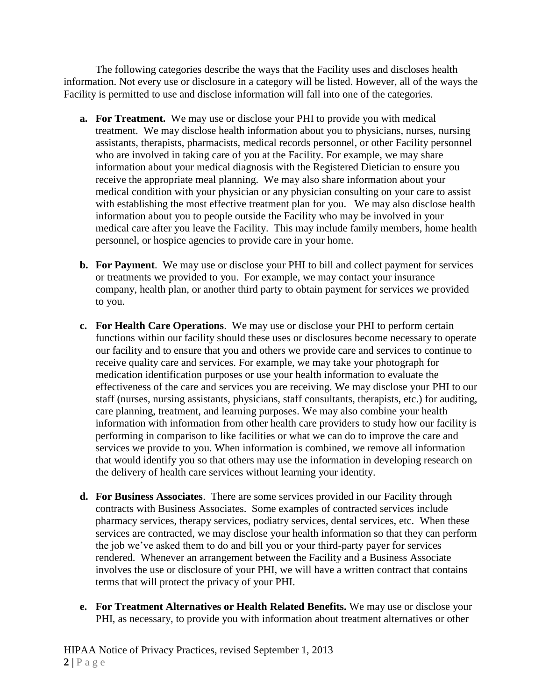The following categories describe the ways that the Facility uses and discloses health information. Not every use or disclosure in a category will be listed. However, all of the ways the Facility is permitted to use and disclose information will fall into one of the categories.

- **a. For Treatment.** We may use or disclose your PHI to provide you with medical treatment. We may disclose health information about you to physicians, nurses, nursing assistants, therapists, pharmacists, medical records personnel, or other Facility personnel who are involved in taking care of you at the Facility. For example, we may share information about your medical diagnosis with the Registered Dietician to ensure you receive the appropriate meal planning. We may also share information about your medical condition with your physician or any physician consulting on your care to assist with establishing the most effective treatment plan for you. We may also disclose health information about you to people outside the Facility who may be involved in your medical care after you leave the Facility. This may include family members, home health personnel, or hospice agencies to provide care in your home.
- **b. For Payment**. We may use or disclose your PHI to bill and collect payment for services or treatments we provided to you. For example, we may contact your insurance company, health plan, or another third party to obtain payment for services we provided to you.
- **c. For Health Care Operations**. We may use or disclose your PHI to perform certain functions within our facility should these uses or disclosures become necessary to operate our facility and to ensure that you and others we provide care and services to continue to receive quality care and services. For example, we may take your photograph for medication identification purposes or use your health information to evaluate the effectiveness of the care and services you are receiving. We may disclose your PHI to our staff (nurses, nursing assistants, physicians, staff consultants, therapists, etc.) for auditing, care planning, treatment, and learning purposes. We may also combine your health information with information from other health care providers to study how our facility is performing in comparison to like facilities or what we can do to improve the care and services we provide to you. When information is combined, we remove all information that would identify you so that others may use the information in developing research on the delivery of health care services without learning your identity.
- **d. For Business Associates**. There are some services provided in our Facility through contracts with Business Associates. Some examples of contracted services include pharmacy services, therapy services, podiatry services, dental services, etc. When these services are contracted, we may disclose your health information so that they can perform the job we've asked them to do and bill you or your third-party payer for services rendered. Whenever an arrangement between the Facility and a Business Associate involves the use or disclosure of your PHI, we will have a written contract that contains terms that will protect the privacy of your PHI.
- **e. For Treatment Alternatives or Health Related Benefits.** We may use or disclose your PHI, as necessary, to provide you with information about treatment alternatives or other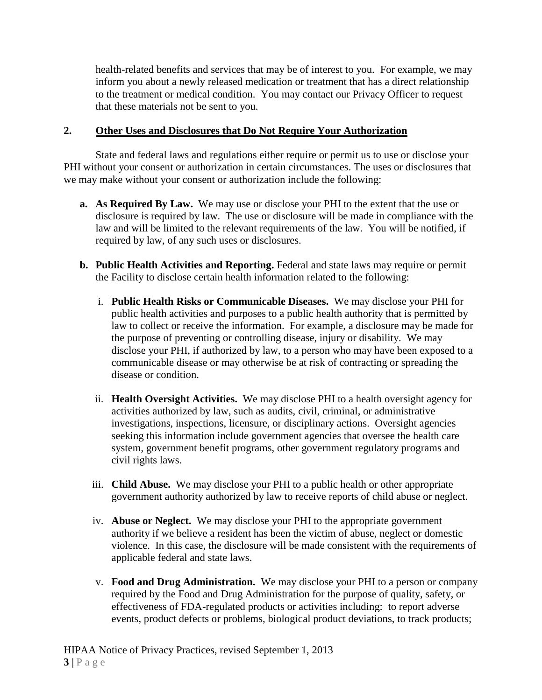health-related benefits and services that may be of interest to you. For example, we may inform you about a newly released medication or treatment that has a direct relationship to the treatment or medical condition. You may contact our Privacy Officer to request that these materials not be sent to you.

### **2. Other Uses and Disclosures that Do Not Require Your Authorization**

State and federal laws and regulations either require or permit us to use or disclose your PHI without your consent or authorization in certain circumstances. The uses or disclosures that we may make without your consent or authorization include the following:

- **a. As Required By Law.** We may use or disclose your PHI to the extent that the use or disclosure is required by law. The use or disclosure will be made in compliance with the law and will be limited to the relevant requirements of the law. You will be notified, if required by law, of any such uses or disclosures.
- **b. Public Health Activities and Reporting.** Federal and state laws may require or permit the Facility to disclose certain health information related to the following:
	- i. **Public Health Risks or Communicable Diseases.** We may disclose your PHI for public health activities and purposes to a public health authority that is permitted by law to collect or receive the information. For example, a disclosure may be made for the purpose of preventing or controlling disease, injury or disability. We may disclose your PHI, if authorized by law, to a person who may have been exposed to a communicable disease or may otherwise be at risk of contracting or spreading the disease or condition.
	- ii. **Health Oversight Activities.** We may disclose PHI to a health oversight agency for activities authorized by law, such as audits, civil, criminal, or administrative investigations, inspections, licensure, or disciplinary actions. Oversight agencies seeking this information include government agencies that oversee the health care system, government benefit programs, other government regulatory programs and civil rights laws.
	- iii. **Child Abuse.** We may disclose your PHI to a public health or other appropriate government authority authorized by law to receive reports of child abuse or neglect.
	- iv. **Abuse or Neglect.** We may disclose your PHI to the appropriate government authority if we believe a resident has been the victim of abuse, neglect or domestic violence. In this case, the disclosure will be made consistent with the requirements of applicable federal and state laws.
	- v. **Food and Drug Administration.** We may disclose your PHI to a person or company required by the Food and Drug Administration for the purpose of quality, safety, or effectiveness of FDA-regulated products or activities including: to report adverse events, product defects or problems, biological product deviations, to track products;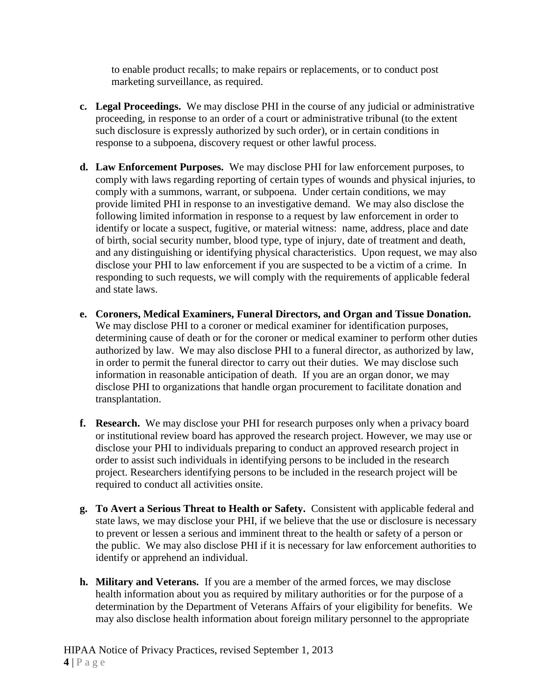to enable product recalls; to make repairs or replacements, or to conduct post marketing surveillance, as required.

- **c. Legal Proceedings.** We may disclose PHI in the course of any judicial or administrative proceeding, in response to an order of a court or administrative tribunal (to the extent such disclosure is expressly authorized by such order), or in certain conditions in response to a subpoena, discovery request or other lawful process.
- **d. Law Enforcement Purposes.** We may disclose PHI for law enforcement purposes, to comply with laws regarding reporting of certain types of wounds and physical injuries, to comply with a summons, warrant, or subpoena. Under certain conditions, we may provide limited PHI in response to an investigative demand. We may also disclose the following limited information in response to a request by law enforcement in order to identify or locate a suspect, fugitive, or material witness: name, address, place and date of birth, social security number, blood type, type of injury, date of treatment and death, and any distinguishing or identifying physical characteristics. Upon request, we may also disclose your PHI to law enforcement if you are suspected to be a victim of a crime. In responding to such requests, we will comply with the requirements of applicable federal and state laws.
- **e. Coroners, Medical Examiners, Funeral Directors, and Organ and Tissue Donation.** We may disclose PHI to a coroner or medical examiner for identification purposes, determining cause of death or for the coroner or medical examiner to perform other duties authorized by law. We may also disclose PHI to a funeral director, as authorized by law, in order to permit the funeral director to carry out their duties. We may disclose such information in reasonable anticipation of death. If you are an organ donor, we may disclose PHI to organizations that handle organ procurement to facilitate donation and transplantation.
- **f. Research.** We may disclose your PHI for research purposes only when a privacy board or institutional review board has approved the research project. However, we may use or disclose your PHI to individuals preparing to conduct an approved research project in order to assist such individuals in identifying persons to be included in the research project. Researchers identifying persons to be included in the research project will be required to conduct all activities onsite.
- **g. To Avert a Serious Threat to Health or Safety.** Consistent with applicable federal and state laws, we may disclose your PHI, if we believe that the use or disclosure is necessary to prevent or lessen a serious and imminent threat to the health or safety of a person or the public. We may also disclose PHI if it is necessary for law enforcement authorities to identify or apprehend an individual.
- **h. Military and Veterans.** If you are a member of the armed forces, we may disclose health information about you as required by military authorities or for the purpose of a determination by the Department of Veterans Affairs of your eligibility for benefits. We may also disclose health information about foreign military personnel to the appropriate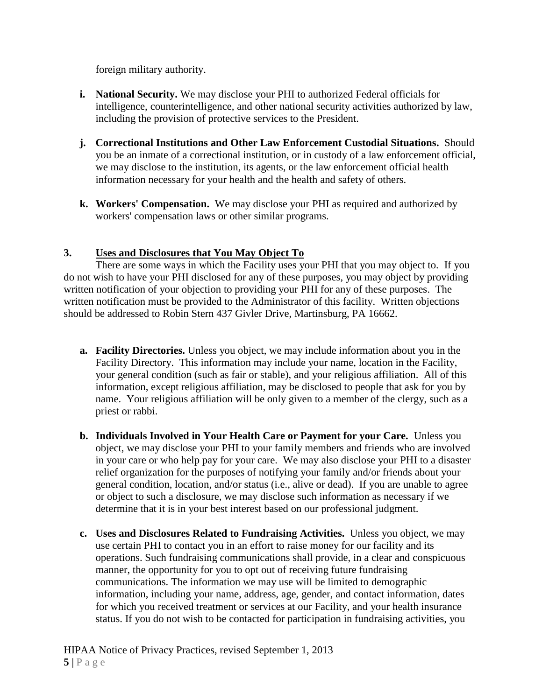foreign military authority.

- **i. National Security.** We may disclose your PHI to authorized Federal officials for intelligence, counterintelligence, and other national security activities authorized by law, including the provision of protective services to the President.
- **j. Correctional Institutions and Other Law Enforcement Custodial Situations.** Should you be an inmate of a correctional institution, or in custody of a law enforcement official, we may disclose to the institution, its agents, or the law enforcement official health information necessary for your health and the health and safety of others.
- **k. Workers' Compensation.** We may disclose your PHI as required and authorized by workers' compensation laws or other similar programs.

## **3. Uses and Disclosures that You May Object To**

There are some ways in which the Facility uses your PHI that you may object to. If you do not wish to have your PHI disclosed for any of these purposes, you may object by providing written notification of your objection to providing your PHI for any of these purposes. The written notification must be provided to the Administrator of this facility. Written objections should be addressed to Robin Stern 437 Givler Drive, Martinsburg, PA 16662.

- **a. Facility Directories.** Unless you object, we may include information about you in the Facility Directory. This information may include your name, location in the Facility, your general condition (such as fair or stable), and your religious affiliation. All of this information, except religious affiliation, may be disclosed to people that ask for you by name. Your religious affiliation will be only given to a member of the clergy, such as a priest or rabbi.
- **b. Individuals Involved in Your Health Care or Payment for your Care.** Unless you object, we may disclose your PHI to your family members and friends who are involved in your care or who help pay for your care. We may also disclose your PHI to a disaster relief organization for the purposes of notifying your family and/or friends about your general condition, location, and/or status (i.e., alive or dead). If you are unable to agree or object to such a disclosure, we may disclose such information as necessary if we determine that it is in your best interest based on our professional judgment.
- **c. Uses and Disclosures Related to Fundraising Activities.** Unless you object, we may use certain PHI to contact you in an effort to raise money for our facility and its operations. Such fundraising communications shall provide, in a clear and conspicuous manner, the opportunity for you to opt out of receiving future fundraising communications. The information we may use will be limited to demographic information, including your name, address, age, gender, and contact information, dates for which you received treatment or services at our Facility, and your health insurance status. If you do not wish to be contacted for participation in fundraising activities, you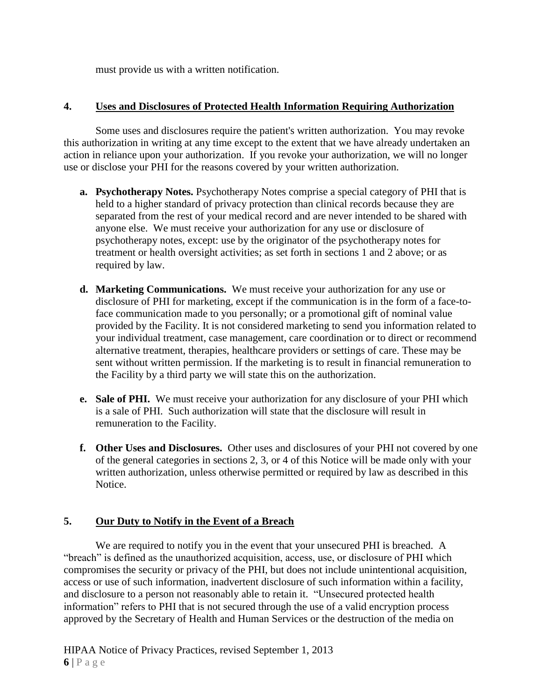must provide us with a written notification.

### **4. Uses and Disclosures of Protected Health Information Requiring Authorization**

Some uses and disclosures require the patient's written authorization. You may revoke this authorization in writing at any time except to the extent that we have already undertaken an action in reliance upon your authorization. If you revoke your authorization, we will no longer use or disclose your PHI for the reasons covered by your written authorization.

- **a. Psychotherapy Notes.** Psychotherapy Notes comprise a special category of PHI that is held to a higher standard of privacy protection than clinical records because they are separated from the rest of your medical record and are never intended to be shared with anyone else. We must receive your authorization for any use or disclosure of psychotherapy notes, except: use by the originator of the psychotherapy notes for treatment or health oversight activities; as set forth in sections 1 and 2 above; or as required by law.
- **d. Marketing Communications.** We must receive your authorization for any use or disclosure of PHI for marketing, except if the communication is in the form of a face-toface communication made to you personally; or a promotional gift of nominal value provided by the Facility. It is not considered marketing to send you information related to your individual treatment, case management, care coordination or to direct or recommend alternative treatment, therapies, healthcare providers or settings of care. These may be sent without written permission. If the marketing is to result in financial remuneration to the Facility by a third party we will state this on the authorization.
- **e. Sale of PHI.** We must receive your authorization for any disclosure of your PHI which is a sale of PHI. Such authorization will state that the disclosure will result in remuneration to the Facility.
- **f. Other Uses and Disclosures.** Other uses and disclosures of your PHI not covered by one of the general categories in sections 2, 3, or 4 of this Notice will be made only with your written authorization, unless otherwise permitted or required by law as described in this Notice.

#### **5. Our Duty to Notify in the Event of a Breach**

We are required to notify you in the event that your unsecured PHI is breached. A "breach" is defined as the unauthorized acquisition, access, use, or disclosure of PHI which compromises the security or privacy of the PHI, but does not include unintentional acquisition, access or use of such information, inadvertent disclosure of such information within a facility, and disclosure to a person not reasonably able to retain it. "Unsecured protected health information" refers to PHI that is not secured through the use of a valid encryption process approved by the Secretary of Health and Human Services or the destruction of the media on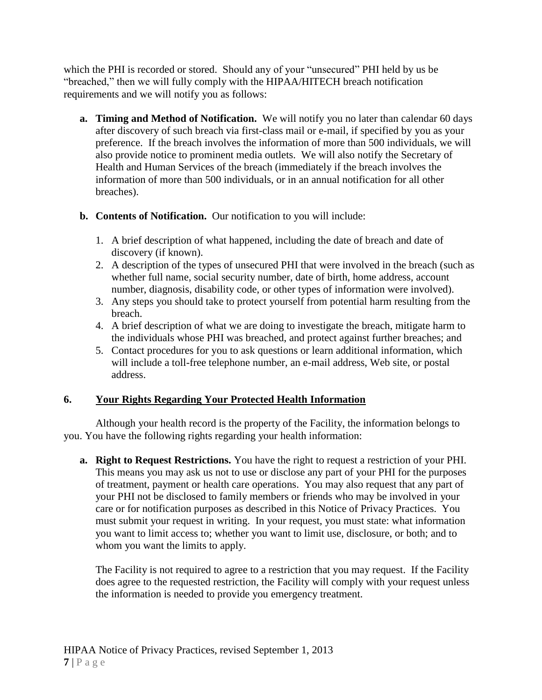which the PHI is recorded or stored. Should any of your "unsecured" PHI held by us be "breached," then we will fully comply with the HIPAA/HITECH breach notification requirements and we will notify you as follows:

- **a. Timing and Method of Notification.** We will notify you no later than calendar 60 days after discovery of such breach via first-class mail or e-mail, if specified by you as your preference. If the breach involves the information of more than 500 individuals, we will also provide notice to prominent media outlets. We will also notify the Secretary of Health and Human Services of the breach (immediately if the breach involves the information of more than 500 individuals, or in an annual notification for all other breaches).
- **b. Contents of Notification.** Our notification to you will include:
	- 1. A brief description of what happened, including the date of breach and date of discovery (if known).
	- 2. A description of the types of unsecured PHI that were involved in the breach (such as whether full name, social security number, date of birth, home address, account number, diagnosis, disability code, or other types of information were involved).
	- 3. Any steps you should take to protect yourself from potential harm resulting from the breach.
	- 4. A brief description of what we are doing to investigate the breach, mitigate harm to the individuals whose PHI was breached, and protect against further breaches; and
	- 5. Contact procedures for you to ask questions or learn additional information, which will include a toll-free telephone number, an e-mail address, Web site, or postal address.

## **6. Your Rights Regarding Your Protected Health Information**

Although your health record is the property of the Facility, the information belongs to you. You have the following rights regarding your health information:

**a. Right to Request Restrictions.** You have the right to request a restriction of your PHI. This means you may ask us not to use or disclose any part of your PHI for the purposes of treatment, payment or health care operations. You may also request that any part of your PHI not be disclosed to family members or friends who may be involved in your care or for notification purposes as described in this Notice of Privacy Practices. You must submit your request in writing. In your request, you must state: what information you want to limit access to; whether you want to limit use, disclosure, or both; and to whom you want the limits to apply.

The Facility is not required to agree to a restriction that you may request. If the Facility does agree to the requested restriction, the Facility will comply with your request unless the information is needed to provide you emergency treatment.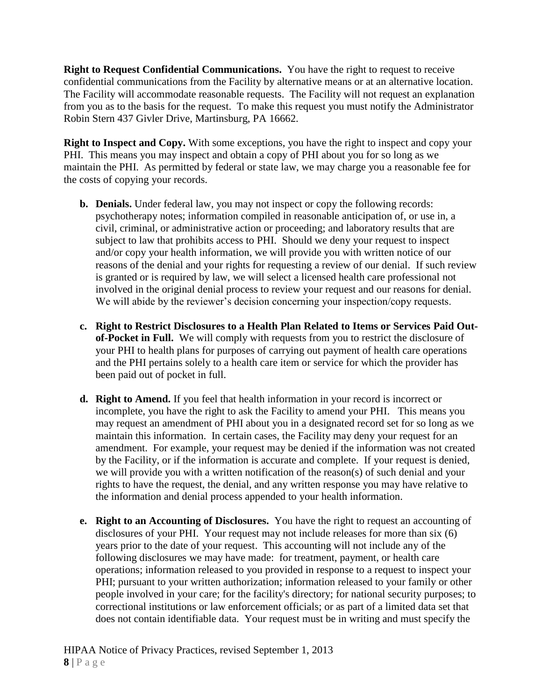**Right to Request Confidential Communications.** You have the right to request to receive confidential communications from the Facility by alternative means or at an alternative location. The Facility will accommodate reasonable requests. The Facility will not request an explanation from you as to the basis for the request. To make this request you must notify the Administrator Robin Stern 437 Givler Drive, Martinsburg, PA 16662.

**Right to Inspect and Copy.** With some exceptions, you have the right to inspect and copy your PHI. This means you may inspect and obtain a copy of PHI about you for so long as we maintain the PHI. As permitted by federal or state law, we may charge you a reasonable fee for the costs of copying your records.

- **b. Denials.** Under federal law, you may not inspect or copy the following records: psychotherapy notes; information compiled in reasonable anticipation of, or use in, a civil, criminal, or administrative action or proceeding; and laboratory results that are subject to law that prohibits access to PHI. Should we deny your request to inspect and/or copy your health information, we will provide you with written notice of our reasons of the denial and your rights for requesting a review of our denial. If such review is granted or is required by law, we will select a licensed health care professional not involved in the original denial process to review your request and our reasons for denial. We will abide by the reviewer's decision concerning your inspection/copy requests.
- **c. Right to Restrict Disclosures to a Health Plan Related to Items or Services Paid Outof-Pocket in Full.** We will comply with requests from you to restrict the disclosure of your PHI to health plans for purposes of carrying out payment of health care operations and the PHI pertains solely to a health care item or service for which the provider has been paid out of pocket in full.
- **d. Right to Amend.** If you feel that health information in your record is incorrect or incomplete, you have the right to ask the Facility to amend your PHI. This means you may request an amendment of PHI about you in a designated record set for so long as we maintain this information. In certain cases, the Facility may deny your request for an amendment. For example, your request may be denied if the information was not created by the Facility, or if the information is accurate and complete. If your request is denied, we will provide you with a written notification of the reason(s) of such denial and your rights to have the request, the denial, and any written response you may have relative to the information and denial process appended to your health information.
- **e. Right to an Accounting of Disclosures.** You have the right to request an accounting of disclosures of your PHI. Your request may not include releases for more than six (6) years prior to the date of your request. This accounting will not include any of the following disclosures we may have made: for treatment, payment, or health care operations; information released to you provided in response to a request to inspect your PHI; pursuant to your written authorization; information released to your family or other people involved in your care; for the facility's directory; for national security purposes; to correctional institutions or law enforcement officials; or as part of a limited data set that does not contain identifiable data. Your request must be in writing and must specify the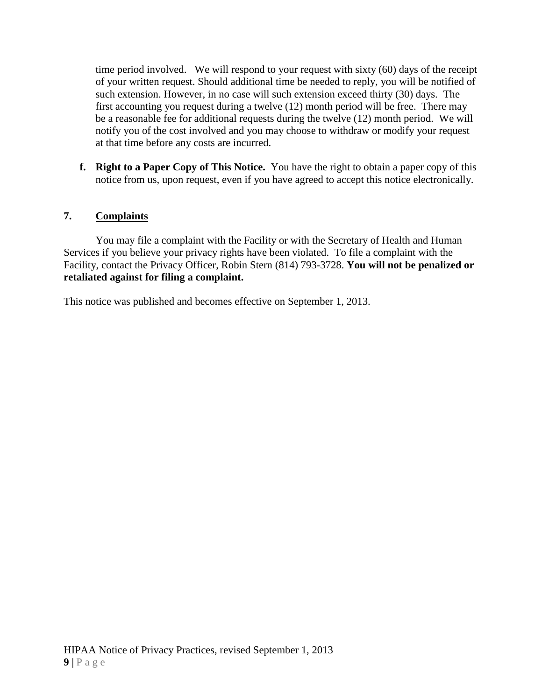time period involved. We will respond to your request with sixty (60) days of the receipt of your written request. Should additional time be needed to reply, you will be notified of such extension. However, in no case will such extension exceed thirty (30) days. The first accounting you request during a twelve (12) month period will be free. There may be a reasonable fee for additional requests during the twelve (12) month period. We will notify you of the cost involved and you may choose to withdraw or modify your request at that time before any costs are incurred.

**f. Right to a Paper Copy of This Notice.** You have the right to obtain a paper copy of this notice from us, upon request, even if you have agreed to accept this notice electronically.

## **7. Complaints**

You may file a complaint with the Facility or with the Secretary of Health and Human Services if you believe your privacy rights have been violated. To file a complaint with the Facility, contact the Privacy Officer, Robin Stern (814) 793-3728. **You will not be penalized or retaliated against for filing a complaint.** 

This notice was published and becomes effective on September 1, 2013.